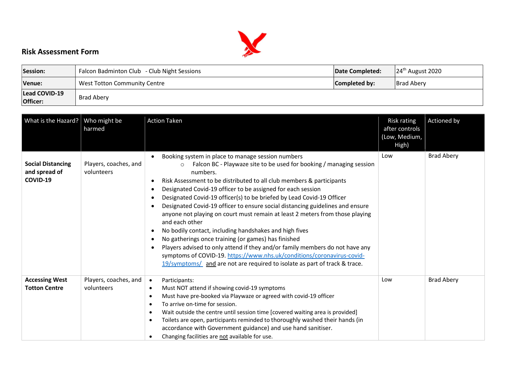

## Risk Assessment Form

| Session:                  | Falcon Badminton Club - Club Night Sessions | Date Completed: | $24th$ August 2020 |
|---------------------------|---------------------------------------------|-----------------|--------------------|
| Venue:                    | West Totton Community Centre                | Completed by:   | <b>Brad Aberv</b>  |
| Lead COVID-19<br>Officer: | <b>Brad Aberv</b>                           |                 |                    |

| What is the Hazard?                                   | Who might be<br>harmed              | <b>Action Taken</b>                                                                                                                                                                                                                                                                                                                                                                                                                                                                                                                                                                                                                                                                                                                                                                                                                                                                                         | <b>Risk rating</b><br>after controls<br>(Low, Medium,<br>High) | <b>Actioned</b> by |
|-------------------------------------------------------|-------------------------------------|-------------------------------------------------------------------------------------------------------------------------------------------------------------------------------------------------------------------------------------------------------------------------------------------------------------------------------------------------------------------------------------------------------------------------------------------------------------------------------------------------------------------------------------------------------------------------------------------------------------------------------------------------------------------------------------------------------------------------------------------------------------------------------------------------------------------------------------------------------------------------------------------------------------|----------------------------------------------------------------|--------------------|
| <b>Social Distancing</b><br>and spread of<br>COVID-19 | Players, coaches, and<br>volunteers | Booking system in place to manage session numbers<br>Falcon BC - Playwaze site to be used for booking / managing session<br>$\circ$<br>numbers.<br>Risk Assessment to be distributed to all club members & participants<br>Designated Covid-19 officer to be assigned for each session<br>Designated Covid-19 officer(s) to be briefed by Lead Covid-19 Officer<br>Designated Covid-19 officer to ensure social distancing guidelines and ensure<br>anyone not playing on court must remain at least 2 meters from those playing<br>and each other<br>No bodily contact, including handshakes and high fives<br>No gatherings once training (or games) has finished<br>Players advised to only attend if they and/or family members do not have any<br>symptoms of COVID-19. https://www.nhs.uk/conditions/coronavirus-covid-<br>19/symptoms/ and are not are required to isolate as part of track & trace. | Low                                                            | <b>Brad Abery</b>  |
| <b>Accessing West</b><br><b>Totton Centre</b>         | Players, coaches, and<br>volunteers | Participants:<br>Must NOT attend if showing covid-19 symptoms<br>$\bullet$<br>Must have pre-booked via Playwaze or agreed with covid-19 officer<br>To arrive on-time for session.<br>Wait outside the centre until session time [covered waiting area is provided]<br>Toilets are open, participants reminded to thoroughly washed their hands (in<br>accordance with Government guidance) and use hand sanitiser.<br>Changing facilities are not available for use.                                                                                                                                                                                                                                                                                                                                                                                                                                        | Low                                                            | <b>Brad Abery</b>  |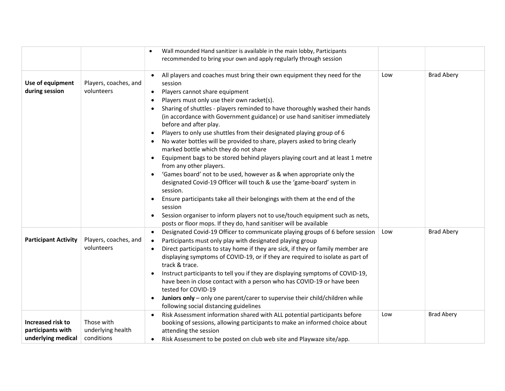|                                                              |                                               | Wall mounded Hand sanitizer is available in the main lobby, Participants                                                                                                                                                                                                                                                                                                                                                                                                                                                                                                                                                                                                                                                                                                                                                                                                                                                                                                                                                                                                                                      |     |                   |
|--------------------------------------------------------------|-----------------------------------------------|---------------------------------------------------------------------------------------------------------------------------------------------------------------------------------------------------------------------------------------------------------------------------------------------------------------------------------------------------------------------------------------------------------------------------------------------------------------------------------------------------------------------------------------------------------------------------------------------------------------------------------------------------------------------------------------------------------------------------------------------------------------------------------------------------------------------------------------------------------------------------------------------------------------------------------------------------------------------------------------------------------------------------------------------------------------------------------------------------------------|-----|-------------------|
|                                                              |                                               | recommended to bring your own and apply regularly through session                                                                                                                                                                                                                                                                                                                                                                                                                                                                                                                                                                                                                                                                                                                                                                                                                                                                                                                                                                                                                                             |     |                   |
| Use of equipment<br>during session                           | Players, coaches, and<br>volunteers           | All players and coaches must bring their own equipment they need for the<br>session<br>Players cannot share equipment<br>$\bullet$<br>Players must only use their own racket(s).<br>Sharing of shuttles - players reminded to have thoroughly washed their hands<br>(in accordance with Government guidance) or use hand sanitiser immediately<br>before and after play.<br>Players to only use shuttles from their designated playing group of 6<br>No water bottles will be provided to share, players asked to bring clearly<br>marked bottle which they do not share<br>Equipment bags to be stored behind players playing court and at least 1 metre<br>from any other players.<br>'Games board' not to be used, however as & when appropriate only the<br>designated Covid-19 Officer will touch & use the 'game-board' system in<br>session.<br>Ensure participants take all their belongings with them at the end of the<br>session<br>Session organiser to inform players not to use/touch equipment such as nets,<br>$\bullet$<br>posts or floor mops. If they do, hand sanitiser will be available | Low | <b>Brad Abery</b> |
| <b>Participant Activity</b>                                  | Players, coaches, and<br>volunteers           | Designated Covid-19 Officer to communicate playing groups of 6 before session<br>$\bullet$<br>Participants must only play with designated playing group<br>Direct participants to stay home if they are sick, if they or family member are<br>displaying symptoms of COVID-19, or if they are required to isolate as part of<br>track & trace.<br>Instruct participants to tell you if they are displaying symptoms of COVID-19,<br>have been in close contact with a person who has COVID-19 or have been<br>tested for COVID-19<br>Juniors only - only one parent/carer to supervise their child/children while<br>following social distancing guidelines                                                                                                                                                                                                                                                                                                                                                                                                                                                   | Low | <b>Brad Abery</b> |
| Increased risk to<br>participants with<br>underlying medical | Those with<br>underlying health<br>conditions | Risk Assessment information shared with ALL potential participants before<br>$\bullet$<br>booking of sessions, allowing participants to make an informed choice about<br>attending the session<br>Risk Assessment to be posted on club web site and Playwaze site/app.<br>٠                                                                                                                                                                                                                                                                                                                                                                                                                                                                                                                                                                                                                                                                                                                                                                                                                                   | Low | <b>Brad Abery</b> |